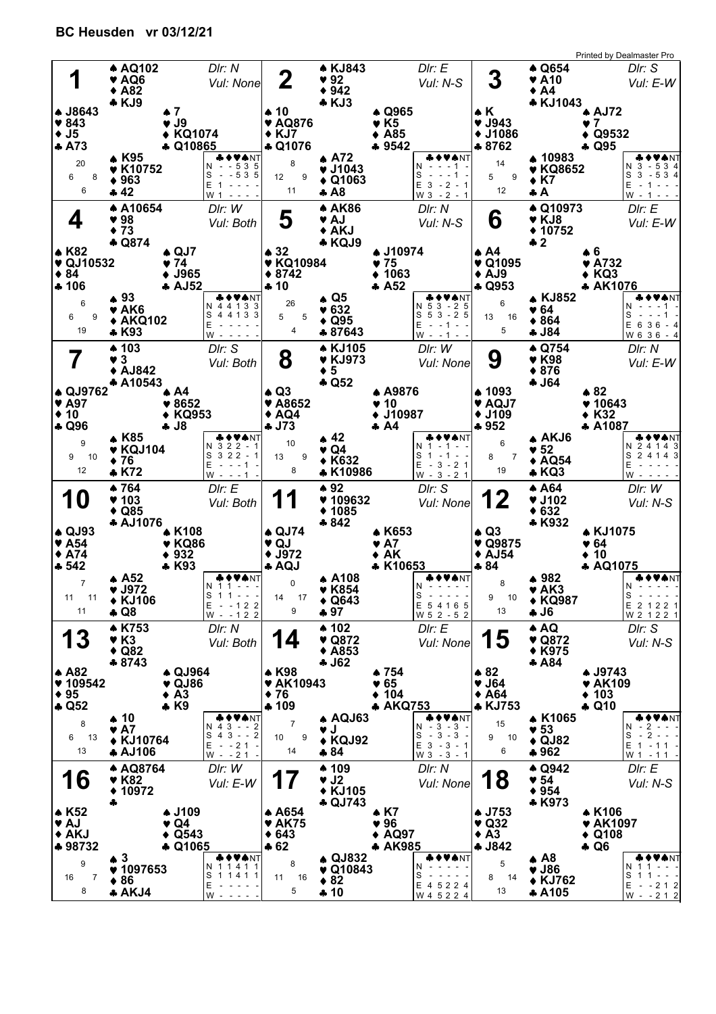